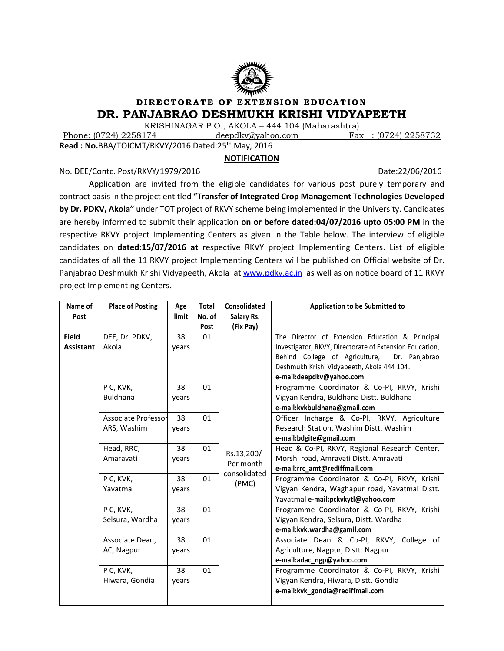

# **DIRECTORATE OF EXTENSION EDUCATION DR. PANJABRAO DESHMUKH KRISHI VIDYAPEETH**

KRISHINAGAR P.O., AKOLA – 444 104 (Maharashtra)<br>Phone: (0724) 2258174 deepdkv@yahoo.com Phone: (0724) 2258174deepdkv@yahoo.comFax : (0724) 2258732

**Read : No.**BBA/TOICMT/RKVY/2016 Dated:25<sup>th</sup> May, 2016

# **NOTIFICATION**

No. DEE/Contc. Post/RKVY/1979/2016 2016 2017 2018 2019 2019 2019 2019 2019 2019 2019

Application are invited from the eligible candidates for various post purely temporary and contract basis in the project entitled **"Transfer of Integrated Crop Management Technologies Developed by Dr. PDKV, Akola"** under TOT project of RKVY scheme being implemented in the University. Candidates are hereby informed to submit their application **on or before dated:04/07/2016 upto 05:00 PM** in the respective RKVY project Implementing Centers as given in the Table below. The interview of eligible candidates on **dated:15/07/2016 at** respective RKVY project Implementing Centers. List of eligible candidates of all the 11 RKVY project Implementing Centers will be published on Official website of Dr. Panjabrao Deshmukh Krishi Vidyapeeth, Akola a[t www.pdkv.ac.in](http://www.pdkv.ac.in/) as well as on notice board of 11 RKVY project Implementing Centers.

| Name of          | <b>Place of Posting</b>    | Age   | <b>Total</b> | Consolidated | Application to be Submitted to                          |
|------------------|----------------------------|-------|--------------|--------------|---------------------------------------------------------|
| Post             |                            | limit | No. of       | Salary Rs.   |                                                         |
|                  |                            |       | Post         | (Fix Pay)    |                                                         |
| <b>Field</b>     | DEE, Dr. PDKV,             | 38    | 01           |              | The Director of Extension Education & Principal         |
| <b>Assistant</b> | Akola                      | years |              |              | Investigator, RKVY, Directorate of Extension Education, |
|                  |                            |       |              |              | Behind College of Agriculture,<br>Dr. Panjabrao         |
|                  |                            |       |              |              | Deshmukh Krishi Vidyapeeth, Akola 444 104.              |
|                  |                            |       |              |              | e-mail:deepdkv@yahoo.com                                |
|                  | P C, KVK,                  | 38    | 01           |              | Programme Coordinator & Co-PI, RKVY, Krishi             |
|                  | <b>Buldhana</b>            | years |              |              | Vigyan Kendra, Buldhana Distt. Buldhana                 |
|                  |                            |       |              |              | e-mail:kvkbuldhana@gmail.com                            |
|                  | <b>Associate Professor</b> | 38    | 01           |              | Officer Incharge & Co-PI, RKVY, Agriculture             |
|                  | ARS, Washim                | years |              |              | Research Station, Washim Distt. Washim                  |
|                  |                            |       |              |              | e-mail:bdgite@gmail.com                                 |
|                  | Head, RRC,                 | 38    | 01           | Rs.13,200/-  | Head & Co-PI, RKVY, Regional Research Center,           |
|                  | Amaravati                  | years |              | Per month    | Morshi road, Amravati Distt. Amravati                   |
|                  |                            |       |              | consolidated | e-mail:rrc_amt@rediffmail.com                           |
|                  | P C, KVK,                  | 38    | 01           | (PMC)        | Programme Coordinator & Co-PI, RKVY, Krishi             |
|                  | Yavatmal                   | years |              |              | Vigyan Kendra, Waghapur road, Yavatmal Distt.           |
|                  |                            |       |              |              | Yavatmal e-mail:pckvkytl@yahoo.com                      |
|                  | P C, KVK,                  | 38    | 01           |              | Programme Coordinator & Co-PI, RKVY, Krishi             |
|                  | Selsura, Wardha            | years |              |              | Vigyan Kendra, Selsura, Distt. Wardha                   |
|                  |                            |       |              |              | e-mail:kvk.wardha@gamil.com                             |
|                  | Associate Dean,            | 38    | 01           |              | Associate Dean & Co-PI, RKVY, College of                |
|                  | AC, Nagpur                 | years |              |              | Agriculture, Nagpur, Distt. Nagpur                      |
|                  |                            |       |              |              | e-mail:adac_ngp@yahoo.com                               |
|                  | P C, KVK,                  | 38    | 01           |              | Programme Coordinator & Co-PI, RKVY, Krishi             |
|                  | Hiwara, Gondia             | years |              |              | Vigyan Kendra, Hiwara, Distt. Gondia                    |
|                  |                            |       |              |              | e-mail:kvk_gondia@rediffmail.com                        |
|                  |                            |       |              |              |                                                         |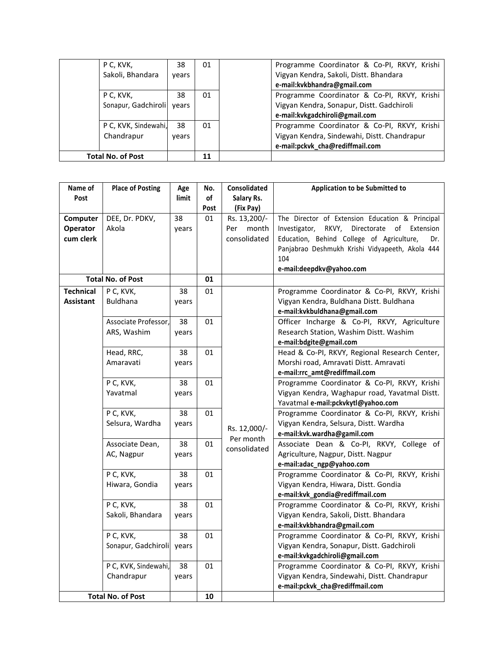| P C, KVK,<br>Sakoli, Bhandara          | 38<br>years | 01 | Programme Coordinator & Co-PI, RKVY, Krishi<br>Vigyan Kendra, Sakoli, Distt. Bhandara<br>e-mail:kvkbhandra@gmail.com          |
|----------------------------------------|-------------|----|-------------------------------------------------------------------------------------------------------------------------------|
| P C, KVK,<br>Sonapur, Gadchiroli years | 38          | 01 | Programme Coordinator & Co-PI, RKVY, Krishi<br>Vigyan Kendra, Sonapur, Distt. Gadchiroli<br>e-mail:kvkgadchiroli@gmail.com    |
| P C, KVK, Sindewahi,<br>Chandrapur     | 38<br>vears | 01 | Programme Coordinator & Co-PI, RKVY, Krishi<br>Vigyan Kendra, Sindewahi, Distt. Chandrapur<br>e-mail:pckvk_cha@rediffmail.com |
| <b>Total No. of Post</b>               |             | 11 |                                                                                                                               |

| Name of          | <b>Place of Posting</b>  | Age   | No.  | Consolidated | Application to be Submitted to                        |
|------------------|--------------------------|-------|------|--------------|-------------------------------------------------------|
| Post             |                          | limit | of   | Salary Rs.   |                                                       |
|                  |                          |       | Post | (Fix Pay)    |                                                       |
| Computer         | DEE, Dr. PDKV,           | 38    | 01   | Rs. 13,200/- | The Director of Extension Education & Principal       |
| Operator         | Akola                    | years |      | month<br>Per | RKVY,<br>Investigator,<br>Directorate<br>of Extension |
| cum clerk        |                          |       |      | consolidated | Education, Behind College of Agriculture,<br>Dr.      |
|                  |                          |       |      |              | Panjabrao Deshmukh Krishi Vidyapeeth, Akola 444       |
|                  |                          |       |      |              | 104                                                   |
|                  | <b>Total No. of Post</b> |       | 01   |              | e-mail:deepdkv@yahoo.com                              |
| <b>Technical</b> | P C, KVK,                | 38    | 01   |              | Programme Coordinator & Co-PI, RKVY, Krishi           |
| <b>Assistant</b> | <b>Buldhana</b>          | years |      |              | Vigyan Kendra, Buldhana Distt. Buldhana               |
|                  |                          |       |      |              | e-mail:kvkbuldhana@gmail.com                          |
|                  | Associate Professor,     | 38    | 01   |              | Officer Incharge & Co-PI, RKVY, Agriculture           |
|                  | ARS, Washim              | years |      |              | Research Station, Washim Distt. Washim                |
|                  |                          |       |      |              | e-mail:bdgite@gmail.com                               |
|                  | Head, RRC,               | 38    | 01   |              | Head & Co-PI, RKVY, Regional Research Center,         |
|                  | Amaravati                | years |      |              | Morshi road, Amravati Distt. Amravati                 |
|                  |                          |       |      |              | e-mail:rrc_amt@rediffmail.com                         |
|                  | P C, KVK,                | 38    | 01   |              | Programme Coordinator & Co-PI, RKVY, Krishi           |
|                  | Yavatmal                 | years |      |              | Vigyan Kendra, Waghapur road, Yavatmal Distt.         |
|                  |                          |       |      |              | Yavatmal e-mail:pckvkytl@yahoo.com                    |
|                  | P C, KVK,                | 38    | 01   |              | Programme Coordinator & Co-PI, RKVY, Krishi           |
|                  | Selsura, Wardha          | years |      |              | Vigyan Kendra, Selsura, Distt. Wardha                 |
|                  |                          |       |      | Rs. 12,000/- | e-mail:kvk.wardha@gamil.com                           |
|                  | Associate Dean,          | 38    | 01   | Per month    | Associate Dean & Co-PI, RKVY, College of              |
|                  | AC, Nagpur               | years |      | consolidated | Agriculture, Nagpur, Distt. Nagpur                    |
|                  |                          |       |      |              | e-mail:adac_ngp@yahoo.com                             |
|                  | P C, KVK,                | 38    | 01   |              | Programme Coordinator & Co-PI, RKVY, Krishi           |
|                  | Hiwara, Gondia           | years |      |              | Vigyan Kendra, Hiwara, Distt. Gondia                  |
|                  |                          |       |      |              | e-mail:kvk_gondia@rediffmail.com                      |
|                  | P C, KVK,                | 38    | 01   |              | Programme Coordinator & Co-PI, RKVY, Krishi           |
|                  | Sakoli, Bhandara         | years |      |              | Vigyan Kendra, Sakoli, Distt. Bhandara                |
|                  |                          |       |      |              | e-mail:kvkbhandra@gmail.com                           |
|                  | P C, KVK,                | 38    | 01   |              | Programme Coordinator & Co-PI, RKVY, Krishi           |
|                  | Sonapur, Gadchiroli      | years |      |              | Vigyan Kendra, Sonapur, Distt. Gadchiroli             |
|                  |                          |       |      |              | e-mail:kvkgadchiroli@gmail.com                        |
|                  | P C, KVK, Sindewahi,     | 38    | 01   |              | Programme Coordinator & Co-PI, RKVY, Krishi           |
|                  | Chandrapur               | years |      |              | Vigyan Kendra, Sindewahi, Distt. Chandrapur           |
|                  |                          |       |      |              | e-mail:pckvk_cha@rediffmail.com                       |
|                  | <b>Total No. of Post</b> |       | 10   |              |                                                       |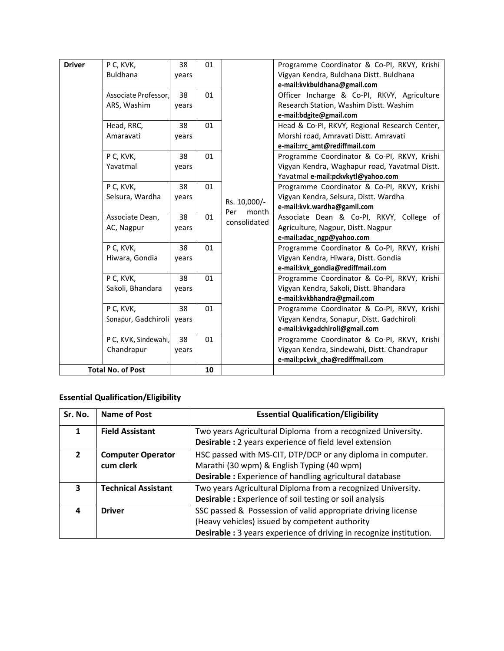| <b>Driver</b> | P C, KVK,                | 38    | 01 |              | Programme Coordinator & Co-PI, RKVY, Krishi   |
|---------------|--------------------------|-------|----|--------------|-----------------------------------------------|
|               | <b>Buldhana</b>          | years |    |              | Vigyan Kendra, Buldhana Distt. Buldhana       |
|               |                          |       |    |              | e-mail:kvkbuldhana@gmail.com                  |
|               | Associate Professor,     | 38    | 01 |              | Officer Incharge & Co-PI, RKVY, Agriculture   |
|               | ARS, Washim              | years |    |              | Research Station, Washim Distt. Washim        |
|               |                          |       |    |              | e-mail:bdgite@gmail.com                       |
|               | Head, RRC,               | 38    | 01 |              | Head & Co-PI, RKVY, Regional Research Center, |
|               | Amaravati                | years |    |              | Morshi road, Amravati Distt. Amravati         |
|               |                          |       |    |              | e-mail:rrc_amt@rediffmail.com                 |
|               | P C, KVK,                | 38    | 01 |              | Programme Coordinator & Co-PI, RKVY, Krishi   |
|               | Yavatmal                 | years |    |              | Vigyan Kendra, Waghapur road, Yavatmal Distt. |
|               |                          |       |    |              | Yavatmal e-mail:pckvkytl@yahoo.com            |
|               | P C, KVK,                | 38    | 01 |              | Programme Coordinator & Co-PI, RKVY, Krishi   |
|               | Selsura, Wardha          | years |    | Rs. 10,000/- | Vigyan Kendra, Selsura, Distt. Wardha         |
|               |                          |       |    | Per<br>month | e-mail:kvk.wardha@gamil.com                   |
|               | Associate Dean,          | 38    | 01 | consolidated | Associate Dean & Co-PI, RKVY, College of      |
|               | AC, Nagpur               | years |    |              | Agriculture, Nagpur, Distt. Nagpur            |
|               |                          |       |    |              | e-mail:adac_ngp@yahoo.com                     |
|               | P C, KVK,                | 38    | 01 |              | Programme Coordinator & Co-PI, RKVY, Krishi   |
|               | Hiwara, Gondia           | years |    |              | Vigyan Kendra, Hiwara, Distt. Gondia          |
|               |                          |       |    |              | e-mail:kvk_gondia@rediffmail.com              |
|               | P C, KVK,                | 38    | 01 |              | Programme Coordinator & Co-PI, RKVY, Krishi   |
|               | Sakoli, Bhandara         | years |    |              | Vigyan Kendra, Sakoli, Distt. Bhandara        |
|               |                          |       |    |              | e-mail:kvkbhandra@gmail.com                   |
|               | P C, KVK,                | 38    | 01 |              | Programme Coordinator & Co-PI, RKVY, Krishi   |
|               | Sonapur, Gadchiroli      | years |    |              | Vigyan Kendra, Sonapur, Distt. Gadchiroli     |
|               |                          |       |    |              | e-mail:kvkgadchiroli@gmail.com                |
|               | P C, KVK, Sindewahi,     | 38    | 01 |              | Programme Coordinator & Co-PI, RKVY, Krishi   |
|               | Chandrapur               | years |    |              | Vigyan Kendra, Sindewahi, Distt. Chandrapur   |
|               |                          |       |    |              | e-mail:pckvk_cha@rediffmail.com               |
|               | <b>Total No. of Post</b> |       | 10 |              |                                               |

# **Essential Qualification/Eligibility**

| Sr. No.      | Name of Post               | <b>Essential Qualification/Eligibility</b>                                |
|--------------|----------------------------|---------------------------------------------------------------------------|
| 1            | <b>Field Assistant</b>     | Two years Agricultural Diploma from a recognized University.              |
|              |                            | Desirable : 2 years experience of field level extension                   |
| $\mathbf{2}$ | <b>Computer Operator</b>   | HSC passed with MS-CIT, DTP/DCP or any diploma in computer.               |
|              | cum clerk                  | Marathi (30 wpm) & English Typing (40 wpm)                                |
|              |                            | Desirable : Experience of handling agricultural database                  |
| 3            | <b>Technical Assistant</b> | Two years Agricultural Diploma from a recognized University.              |
|              |                            | <b>Desirable:</b> Experience of soil testing or soil analysis             |
| 4            | <b>Driver</b>              | SSC passed & Possession of valid appropriate driving license              |
|              |                            | (Heavy vehicles) issued by competent authority                            |
|              |                            | <b>Desirable:</b> 3 years experience of driving in recognize institution. |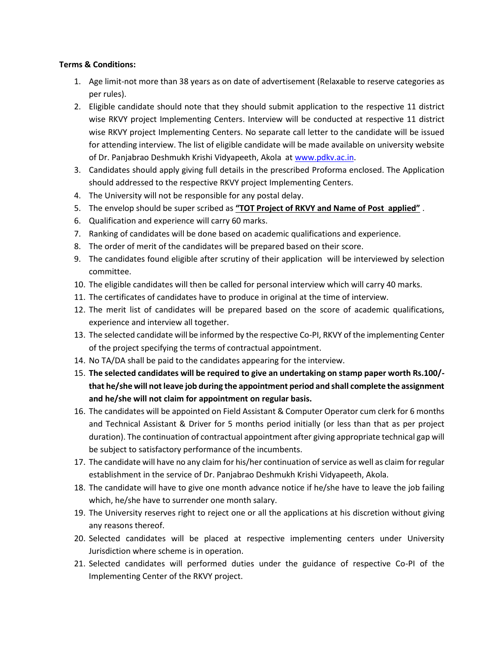### **Terms & Conditions:**

- 1. Age limit-not more than 38 years as on date of advertisement (Relaxable to reserve categories as per rules).
- 2. Eligible candidate should note that they should submit application to the respective 11 district wise RKVY project Implementing Centers. Interview will be conducted at respective 11 district wise RKVY project Implementing Centers. No separate call letter to the candidate will be issued for attending interview. The list of eligible candidate will be made available on university website of Dr. Panjabrao Deshmukh Krishi Vidyapeeth, Akola at [www.pdkv.ac.in.](http://www.pdkv.ac.in/)
- 3. Candidates should apply giving full details in the prescribed Proforma enclosed. The Application should addressed to the respective RKVY project Implementing Centers.
- 4. The University will not be responsible for any postal delay.
- 5. The envelop should be super scribed as **"TOT Project of RKVY and Name of Post applied"** .
- 6. Qualification and experience will carry 60 marks.
- 7. Ranking of candidates will be done based on academic qualifications and experience.
- 8. The order of merit of the candidates will be prepared based on their score.
- 9. The candidates found eligible after scrutiny of their application will be interviewed by selection committee.
- 10. The eligible candidates will then be called for personal interview which will carry 40 marks.
- 11. The certificates of candidates have to produce in original at the time of interview.
- 12. The merit list of candidates will be prepared based on the score of academic qualifications, experience and interview all together.
- 13. The selected candidate will be informed by the respective Co-PI, RKVY of the implementing Center of the project specifying the terms of contractual appointment.
- 14. No TA/DA shall be paid to the candidates appearing for the interview.
- 15. **The selected candidates will be required to give an undertaking on stamp paper worth Rs.100/ that he/she will not leave job during the appointment period and shall complete the assignment and he/she will not claim for appointment on regular basis.**
- 16. The candidates will be appointed on Field Assistant & Computer Operator cum clerk for 6 months and Technical Assistant & Driver for 5 months period initially (or less than that as per project duration). The continuation of contractual appointment after giving appropriate technical gap will be subject to satisfactory performance of the incumbents.
- 17. The candidate will have no any claim for his/her continuation of service as well as claim for regular establishment in the service of Dr. Panjabrao Deshmukh Krishi Vidyapeeth, Akola.
- 18. The candidate will have to give one month advance notice if he/she have to leave the job failing which, he/she have to surrender one month salary.
- 19. The University reserves right to reject one or all the applications at his discretion without giving any reasons thereof.
- 20. Selected candidates will be placed at respective implementing centers under University Jurisdiction where scheme is in operation.
- 21. Selected candidates will performed duties under the guidance of respective Co-PI of the Implementing Center of the RKVY project.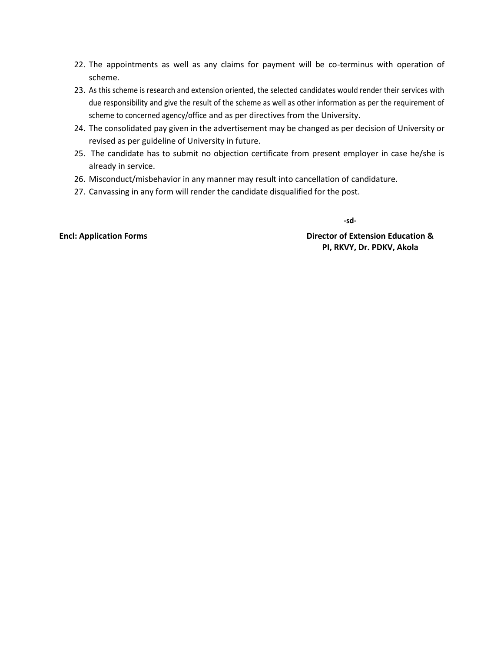- 22. The appointments as well as any claims for payment will be co-terminus with operation of scheme.
- 23. As this scheme is research and extension oriented, the selected candidates would render their services with due responsibility and give the result of the scheme as well as other information as per the requirement of scheme to concerned agency/office and as per directives from the University.
- 24. The consolidated pay given in the advertisement may be changed as per decision of University or revised as per guideline of University in future.
- 25. The candidate has to submit no objection certificate from present employer in case he/she is already in service.
- 26. Misconduct/misbehavior in any manner may result into cancellation of candidature.
- 27. Canvassing in any form will render the candidate disqualified for the post.

 **-sd-**

**Encl: Application Forms Director of Extension Education & PI, RKVY, Dr. PDKV, Akola**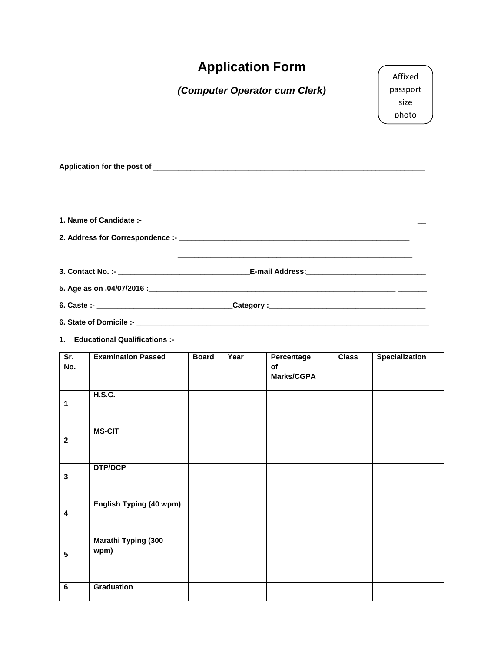|                 |                                                               |              |      | <b>Application Form</b>        |              | Affixed                   |
|-----------------|---------------------------------------------------------------|--------------|------|--------------------------------|--------------|---------------------------|
|                 |                                                               |              |      | (Computer Operator cum Clerk)  |              | passport<br>size<br>photo |
|                 |                                                               |              |      |                                |              |                           |
|                 |                                                               |              |      |                                |              |                           |
|                 |                                                               |              |      |                                |              |                           |
|                 |                                                               |              |      |                                |              |                           |
| Sr.<br>No.      | 1. Educational Qualifications :-<br><b>Examination Passed</b> | <b>Board</b> | Year | Percentage<br>οf<br>Marks/CGPA | <b>Class</b> | <b>Specialization</b>     |
| 1               | H.S.C.                                                        |              |      |                                |              |                           |
| $\mathbf{2}$    | <b>MS-CIT</b>                                                 |              |      |                                |              |                           |
| $\mathbf{3}$    | <b>DTP/DCP</b>                                                |              |      |                                |              |                           |
| 4               | <b>English Typing (40 wpm)</b>                                |              |      |                                |              |                           |
| $5\phantom{.0}$ | <b>Marathi Typing (300</b><br>wpm)                            |              |      |                                |              |                           |
| 6               | <b>Graduation</b>                                             |              |      |                                |              |                           |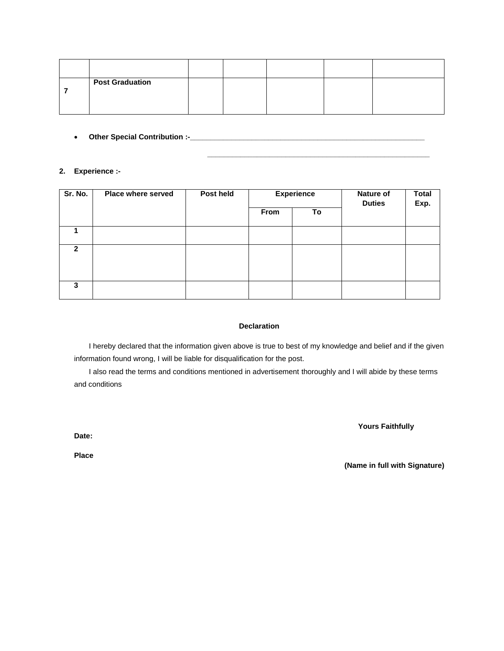| <b>Post Graduation</b> |  |  |  |
|------------------------|--|--|--|
|                        |  |  |  |

**\_\_\_\_\_\_\_\_\_\_\_\_\_\_\_\_\_\_\_\_\_\_\_\_\_\_\_\_\_\_\_\_\_\_\_\_\_\_\_\_\_\_\_\_\_\_\_\_\_\_\_\_\_\_**

**Other Special Contribution :-\_\_\_\_\_\_\_\_\_\_\_\_\_\_\_\_\_\_\_\_\_\_\_\_\_\_\_\_\_\_\_\_\_\_\_\_\_\_\_\_\_\_\_\_\_\_\_\_\_\_\_\_\_\_\_\_\_**

#### **2. Experience :-**

| Sr. No.      | <b>Place where served</b> | Post held | <b>Experience</b> |    | Nature of<br><b>Duties</b> | <b>Total</b><br>Exp. |
|--------------|---------------------------|-----------|-------------------|----|----------------------------|----------------------|
|              |                           |           | From              | To |                            |                      |
|              |                           |           |                   |    |                            |                      |
| $\mathbf{2}$ |                           |           |                   |    |                            |                      |
| 3            |                           |           |                   |    |                            |                      |

#### **Declaration**

I hereby declared that the information given above is true to best of my knowledge and belief and if the given information found wrong, I will be liable for disqualification for the post.

I also read the terms and conditions mentioned in advertisement thoroughly and I will abide by these terms and conditions

 **Yours Faithfully**

**Date:**

**Place**

 **(Name in full with Signature)**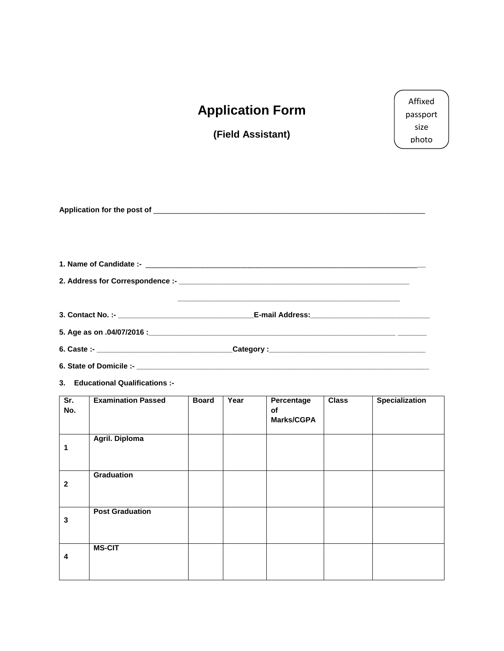# **Application Form**

**(Field Assistant)**

Affixed passport size photo

|                                  |                                  |              |      |                                |              | <u> 1989 - Johann John Harry Harry Harry Harry Harry Harry Harry Harry Harry Harry Harry Harry Harry Harry Harry Harry Harry Harry Harry Harry Harry Harry Harry Harry Harry Harry Harry Harry Harry Harry Harry Harry Harry Har</u> |
|----------------------------------|----------------------------------|--------------|------|--------------------------------|--------------|--------------------------------------------------------------------------------------------------------------------------------------------------------------------------------------------------------------------------------------|
|                                  |                                  |              |      |                                |              |                                                                                                                                                                                                                                      |
|                                  |                                  |              |      |                                |              |                                                                                                                                                                                                                                      |
|                                  | 3. Educational Qualifications :- |              |      |                                |              |                                                                                                                                                                                                                                      |
| $\overline{\mathsf{Sr.}}$<br>No. | <b>Examination Passed</b>        | <b>Board</b> | Year | Percentage<br>of<br>Marks/CGPA | <b>Class</b> | <b>Specialization</b>                                                                                                                                                                                                                |
| 1                                | Agril. Diploma                   |              |      |                                |              |                                                                                                                                                                                                                                      |
| $\mathbf{2}$                     | <b>Graduation</b>                |              |      |                                |              |                                                                                                                                                                                                                                      |
| 3                                | <b>Post Graduation</b>           |              |      |                                |              |                                                                                                                                                                                                                                      |
| 4                                | <b>MS-CIT</b>                    |              |      |                                |              |                                                                                                                                                                                                                                      |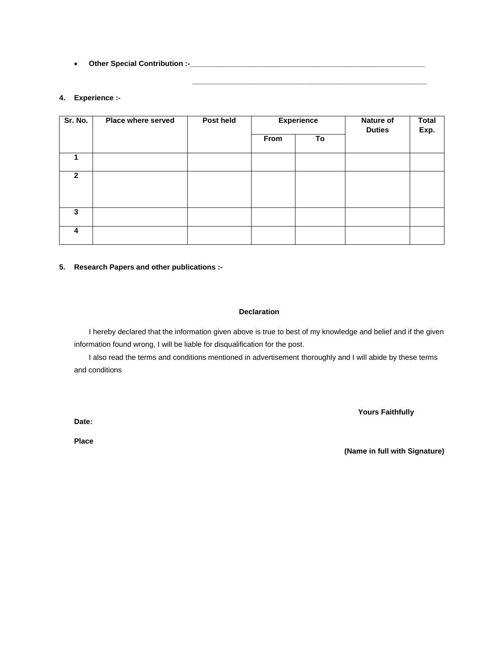**Other Special Contribution :-\_\_\_\_\_\_\_\_\_\_\_\_\_\_\_\_\_\_\_\_\_\_\_\_\_\_\_\_\_\_\_\_\_\_\_\_\_\_\_\_\_\_\_\_\_\_\_\_\_\_\_\_\_\_\_\_\_**

#### **4. Experience :-**

| Sr. No.        | Place where served | Post held |      | <b>Experience</b> | <b>Nature of</b><br><b>Duties</b> | <b>Total</b><br>Exp. |
|----------------|--------------------|-----------|------|-------------------|-----------------------------------|----------------------|
|                |                    |           | From | To                |                                   |                      |
|                |                    |           |      |                   |                                   |                      |
| $\overline{2}$ |                    |           |      |                   |                                   |                      |
|                |                    |           |      |                   |                                   |                      |
| 3              |                    |           |      |                   |                                   |                      |
| 4              |                    |           |      |                   |                                   |                      |

 **\_\_\_\_\_\_\_\_\_\_\_\_\_\_\_\_\_\_\_\_\_\_\_\_\_\_\_\_\_\_\_\_\_\_\_\_\_\_\_\_\_\_\_\_\_\_\_\_\_\_\_\_\_\_\_\_\_**

#### **5. Research Papers and other publications :-**

#### **Declaration**

I hereby declared that the information given above is true to best of my knowledge and belief and if the given information found wrong, I will be liable for disqualification for the post.

I also read the terms and conditions mentioned in advertisement thoroughly and I will abide by these terms and conditions

 **Yours Faithfully**

**Date:**

**Place**

**(Name in full with Signature)**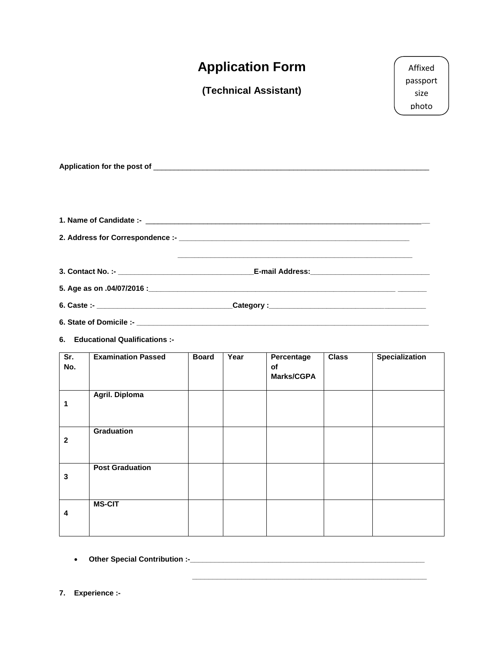| <b>Application Form</b> | Affixed          |
|-------------------------|------------------|
| (Technical Assistant)   | passport<br>size |
|                         | photo            |
|                         |                  |

**Application for the post of** \_\_\_\_\_\_\_\_\_\_\_\_\_\_\_\_\_\_\_\_\_\_\_\_\_\_\_\_\_\_\_\_\_\_\_\_\_\_\_\_\_\_\_\_\_\_\_\_\_\_\_\_\_\_\_\_\_\_\_\_\_\_\_\_\_\_\_

**6. Educational Qualifications :-**

| Sr.<br>No.   | <b>Examination Passed</b> | <b>Board</b> | Year | Percentage<br>of<br><b>Marks/CGPA</b> | <b>Class</b> | <b>Specialization</b> |
|--------------|---------------------------|--------------|------|---------------------------------------|--------------|-----------------------|
| 1            | Agril. Diploma            |              |      |                                       |              |                       |
| $\mathbf{2}$ | Graduation                |              |      |                                       |              |                       |
| $\mathbf 3$  | <b>Post Graduation</b>    |              |      |                                       |              |                       |
| 4            | <b>MS-CIT</b>             |              |      |                                       |              |                       |

 **\_\_\_\_\_\_\_\_\_\_\_\_\_\_\_\_\_\_\_\_\_\_\_\_\_\_\_\_\_\_\_\_\_\_\_\_\_\_\_\_\_\_\_\_\_\_\_\_\_\_\_\_\_\_\_\_\_**

**Other Special Contribution :-\_\_\_\_\_\_\_\_\_\_\_\_\_\_\_\_\_\_\_\_\_\_\_\_\_\_\_\_\_\_\_\_\_\_\_\_\_\_\_\_\_\_\_\_\_\_\_\_\_\_\_\_\_\_\_\_\_**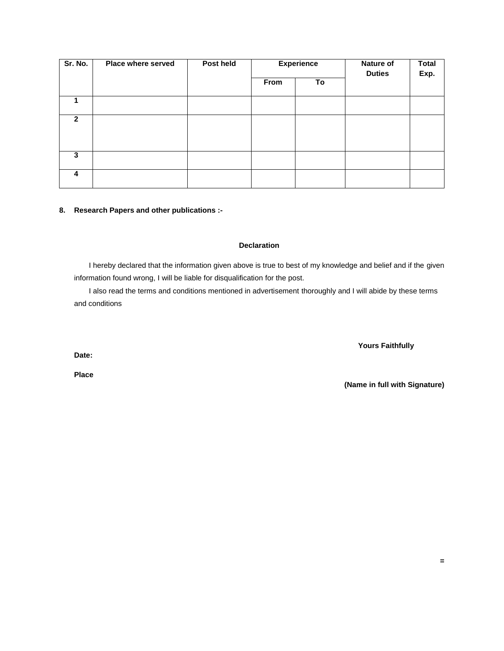| Sr. No.        | <b>Place where served</b> | Post held | <b>Experience</b> |    | <b>Nature of</b><br><b>Duties</b> | <b>Total</b><br>Exp. |
|----------------|---------------------------|-----------|-------------------|----|-----------------------------------|----------------------|
|                |                           |           | From              | To |                                   |                      |
|                |                           |           |                   |    |                                   |                      |
| $\overline{2}$ |                           |           |                   |    |                                   |                      |
|                |                           |           |                   |    |                                   |                      |
| 3              |                           |           |                   |    |                                   |                      |
| 4              |                           |           |                   |    |                                   |                      |

#### **8. Research Papers and other publications :-**

#### **Declaration**

I hereby declared that the information given above is true to best of my knowledge and belief and if the given information found wrong, I will be liable for disqualification for the post.

I also read the terms and conditions mentioned in advertisement thoroughly and I will abide by these terms and conditions

 **Yours Faithfully**

**Date:**

**Place**

**(Name in full with Signature)**

**=**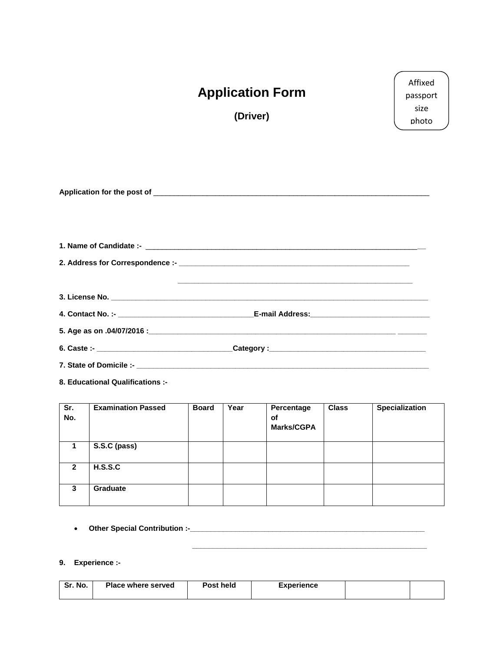| <b>Application Form</b><br>(Driver) | Affixed<br>passport<br>size<br>photo |
|-------------------------------------|--------------------------------------|
|                                     |                                      |
|                                     |                                      |
|                                     |                                      |

**6. Caste :- \_\_\_\_\_\_\_\_\_\_\_\_\_\_\_\_\_\_\_\_\_\_\_\_\_\_\_\_\_\_\_\_\_Category :\_\_\_\_\_\_\_\_\_\_\_\_\_\_\_\_\_\_\_\_\_\_\_\_\_\_\_\_\_\_\_\_\_\_\_\_\_\_**

**7. State of Domicile :- \_\_\_\_\_\_\_\_\_\_\_\_\_\_\_\_\_\_\_\_\_\_\_\_\_\_\_\_\_\_\_\_\_\_\_\_\_\_\_\_\_\_\_\_\_\_\_\_\_\_\_\_\_\_\_\_\_\_\_\_\_\_\_\_\_\_\_\_\_\_\_**

**8. Educational Qualifications :-**

| Sr.<br>No.     | <b>Examination Passed</b> | <b>Board</b> | Year | Percentage<br><b>of</b><br><b>Marks/CGPA</b> | <b>Class</b> | <b>Specialization</b> |
|----------------|---------------------------|--------------|------|----------------------------------------------|--------------|-----------------------|
|                | S.S.C (pass)              |              |      |                                              |              |                       |
| $\overline{2}$ | H.S.S.C                   |              |      |                                              |              |                       |
| 3              | <b>Graduate</b>           |              |      |                                              |              |                       |

**Other Special Contribution :-\_\_\_\_\_\_\_\_\_\_\_\_\_\_\_\_\_\_\_\_\_\_\_\_\_\_\_\_\_\_\_\_\_\_\_\_\_\_\_\_\_\_\_\_\_\_\_\_\_\_\_\_\_\_\_\_\_**

## **9. Experience :-**

| No.<br><b>C</b> –<br>эr. | <b>Place where served</b> | Post held | Experience |  |
|--------------------------|---------------------------|-----------|------------|--|
|                          |                           |           |            |  |

 **\_\_\_\_\_\_\_\_\_\_\_\_\_\_\_\_\_\_\_\_\_\_\_\_\_\_\_\_\_\_\_\_\_\_\_\_\_\_\_\_\_\_\_\_\_\_\_\_\_\_\_\_\_\_\_\_\_**